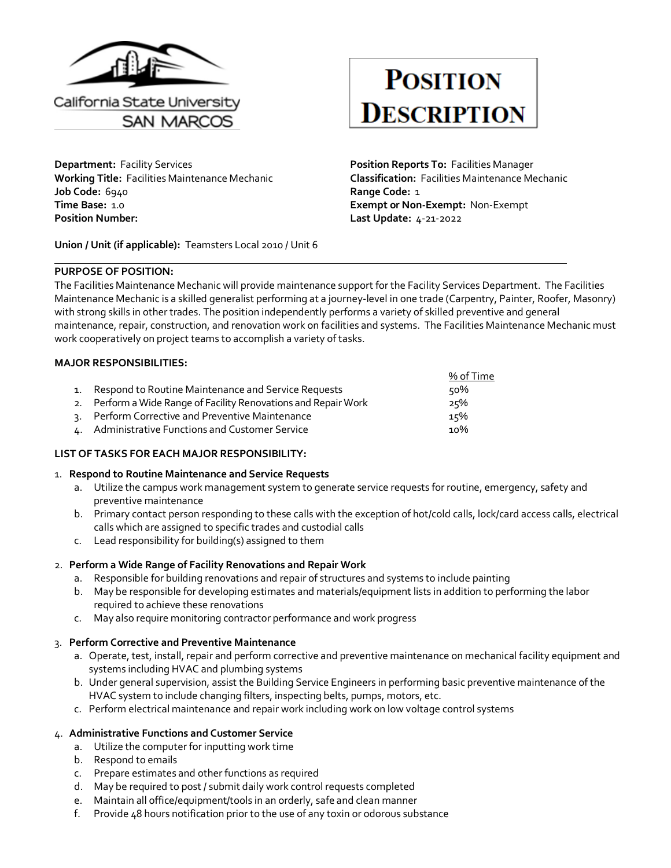

**Department: Facility Services <b>Position Reports To: Facilities Manager Position Reports To: Facilities Manager Working Title:** Facilities Maintenance Mechanic **Classification:** Facilities Maintenance Mechanic **Job Code:** 6940 **Range Code:** 1 **Time Base:** 1.0 **Exempt or Non-Exempt:** Non-Exempt **Position Number: Last Update:** 4-21-2022

**Union / Unit (if applicable):** Teamsters Local 2010 / Unit 6

#### **PURPOSE OF POSITION:**

# **POSITION DESCRIPTION**

The Facilities Maintenance Mechanic will provide maintenance support for the Facility Services Department. The Facilities Maintenance Mechanic is a skilled generalist performing at a journey-level in one trade (Carpentry, Painter, Roofer, Masonry) with strong skills in other trades. The position independently performs a variety of skilled preventive and general maintenance, repair, construction, and renovation work on facilities and systems. The Facilities Maintenance Mechanic must work cooperatively on project teams to accomplish a variety of tasks.

# **MAJOR RESPONSIBILITIES:**

|                                                                 | % of Time |
|-----------------------------------------------------------------|-----------|
| 1. Respond to Routine Maintenance and Service Requests          | 50%       |
| 2. Perform a Wide Range of Facility Renovations and Repair Work | 25%       |
| 3. Perform Corrective and Preventive Maintenance                | 15%       |
| 4. Administrative Functions and Customer Service                | 10%       |

# **LIST OF TASKS FOR EACH MAJOR RESPONSIBILITY:**

#### 1. **Respond to Routine Maintenance and Service Requests**

- a. Utilize the campus work management system to generate service requests for routine, emergency, safety and preventive maintenance
- b. Primary contact person responding to these calls with the exception of hot/cold calls, lock/card access calls, electrical calls which are assigned to specific trades and custodial calls
- c. Lead responsibility for building(s) assigned to them

#### 2. **Perform a Wide Range of Facility Renovations and Repair Work**

- a. Responsible for building renovations and repair of structures and systems to include painting
- b. May be responsible for developing estimates and materials/equipment lists in addition to performing the labor required to achieve these renovations
- c. May also require monitoring contractor performance and work progress

# 3. **Perform Corrective and Preventive Maintenance**

- a. Operate, test, install, repair and perform corrective and preventive maintenance on mechanical facility equipment and systems including HVAC and plumbing systems
- b. Under general supervision, assist the Building Service Engineers in performing basic preventive maintenance of the HVAC system to include changing filters, inspecting belts, pumps, motors, etc.
- c. Perform electrical maintenance and repair work including work on low voltage control systems

# 4. **Administrative Functions and Customer Service**

- a. Utilize the computer for inputting work time
- b. Respond to emails
- c. Prepare estimates and other functions as required
- d. May be required to post / submit daily work control requests completed
- e. Maintain all office/equipment/tools in an orderly, safe and clean manner
- f. Provide 48 hours notification prior to the use of any toxin or odorous substance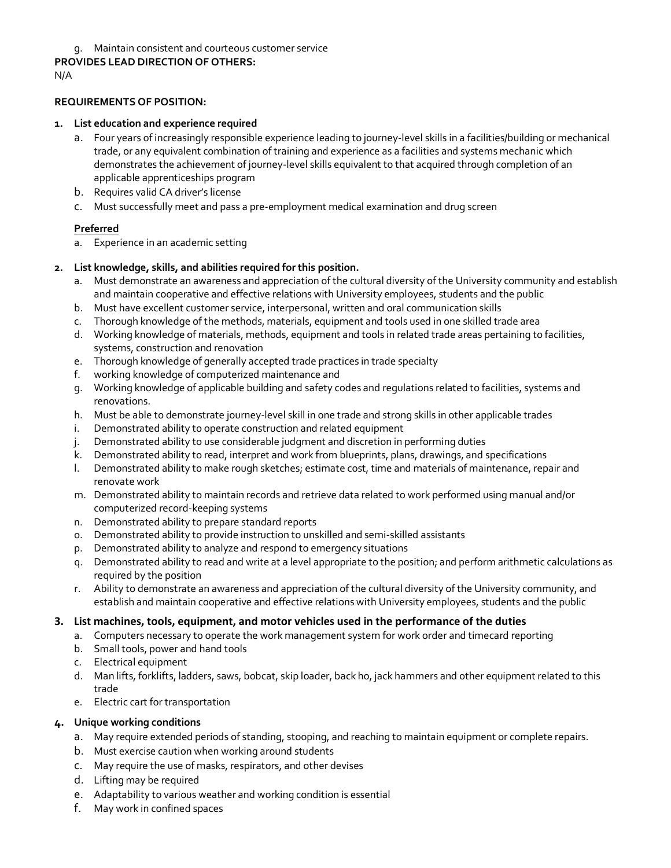# g. Maintain consistent and courteous customer service

#### **PROVIDES LEAD DIRECTION OF OTHERS:**

N/A

# **REQUIREMENTS OF POSITION:**

#### **1. List education and experience required**

- a. Four years of increasingly responsible experience leading to journey-level skills in a facilities/building or mechanical trade, or any equivalent combination of training and experience as a facilities and systems mechanic which demonstrates the achievement of journey-level skills equivalent to that acquired through completion of an applicable apprenticeships program
- b. Requires valid CA driver's license
- c. Must successfully meet and pass a pre-employment medical examination and drug screen

# **Preferred**

a. Experience in an academic setting

# **2. List knowledge, skills, and abilities required for this position.**

- a. Must demonstrate an awareness and appreciation of the cultural diversity of the University community and establish and maintain cooperative and effective relations with University employees, students and the public
- b. Must have excellent customer service, interpersonal, written and oral communication skills
- c. Thorough knowledge of the methods, materials, equipment and tools used in one skilled trade area
- d. Working knowledge of materials, methods, equipment and tools in related trade areas pertaining to facilities, systems, construction and renovation
- e. Thorough knowledge of generally accepted trade practices in trade specialty
- f. working knowledge of computerized maintenance and
- g. Working knowledge of applicable building and safety codes and regulations related to facilities, systems and renovations.
- h. Must be able to demonstrate journey-level skill in one trade and strong skills in other applicable trades
- i. Demonstrated ability to operate construction and related equipment
- j. Demonstrated ability to use considerable judgment and discretion in performing duties
- k. Demonstrated ability to read, interpret and work from blueprints, plans, drawings, and specifications
- l. Demonstrated ability to make rough sketches; estimate cost, time and materials of maintenance, repair and renovate work
- m. Demonstrated ability to maintain records and retrieve data related to work performed using manual and/or computerized record-keeping systems
- n. Demonstrated ability to prepare standard reports
- o. Demonstrated ability to provide instruction to unskilled and semi-skilled assistants
- p. Demonstrated ability to analyze and respond to emergency situations
- q. Demonstrated ability to read and write at a level appropriate to the position; and perform arithmetic calculations as required by the position
- r. Ability to demonstrate an awareness and appreciation of the cultural diversity of the University community, and establish and maintain cooperative and effective relations with University employees, students and the public

# **3. List machines, tools, equipment, and motor vehicles used in the performance of the duties**

- a. Computers necessary to operate the work management system for work order and timecard reporting
- b. Small tools, power and hand tools
- c. Electrical equipment
- d. Man lifts, forklifts, ladders, saws, bobcat, skip loader, back ho, jack hammers and other equipment related to this trade
- e. Electric cart for transportation

# **4. Unique working conditions**

- a. May require extended periods of standing, stooping, and reaching to maintain equipment or complete repairs.
- b. Must exercise caution when working around students
- c. May require the use of masks, respirators, and other devises
- d. Lifting may be required
- e. Adaptability to various weather and working condition is essential
- f. May work in confined spaces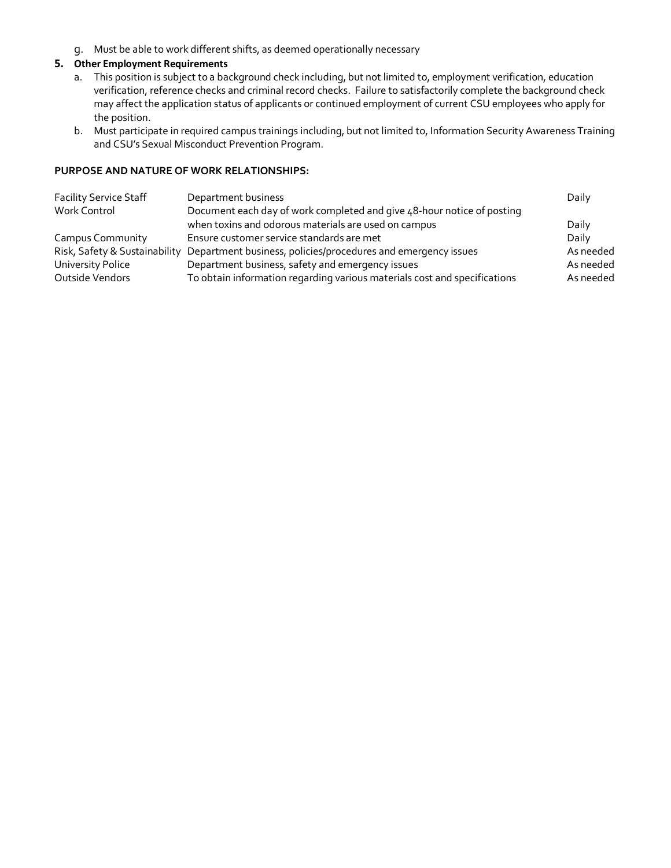g. Must be able to work different shifts, as deemed operationally necessary

# **5. Other Employment Requirements**

- a. This position is subject to a background check including, but not limited to, employment verification, education verification, reference checks and criminal record checks. Failure to satisfactorily complete the background check may affect the application status of applicants or continued employment of current CSU employees who apply for the position.
- b. Must participate in required campus trainings including, but not limited to, Information Security Awareness Training and CSU's Sexual Misconduct Prevention Program.

#### **PURPOSE AND NATURE OF WORK RELATIONSHIPS:**

| <b>Facility Service Staff</b> | Department business                                                       | Daily     |
|-------------------------------|---------------------------------------------------------------------------|-----------|
| Work Control                  | Document each day of work completed and give 48-hour notice of posting    |           |
|                               | when toxins and odorous materials are used on campus                      | Daily     |
| <b>Campus Community</b>       | Ensure customer service standards are met                                 | Daily     |
| Risk, Safety & Sustainability | Department business, policies/procedures and emergency issues             | As needed |
| University Police             | Department business, safety and emergency issues                          | As needed |
| Outside Vendors               | To obtain information regarding various materials cost and specifications | As needed |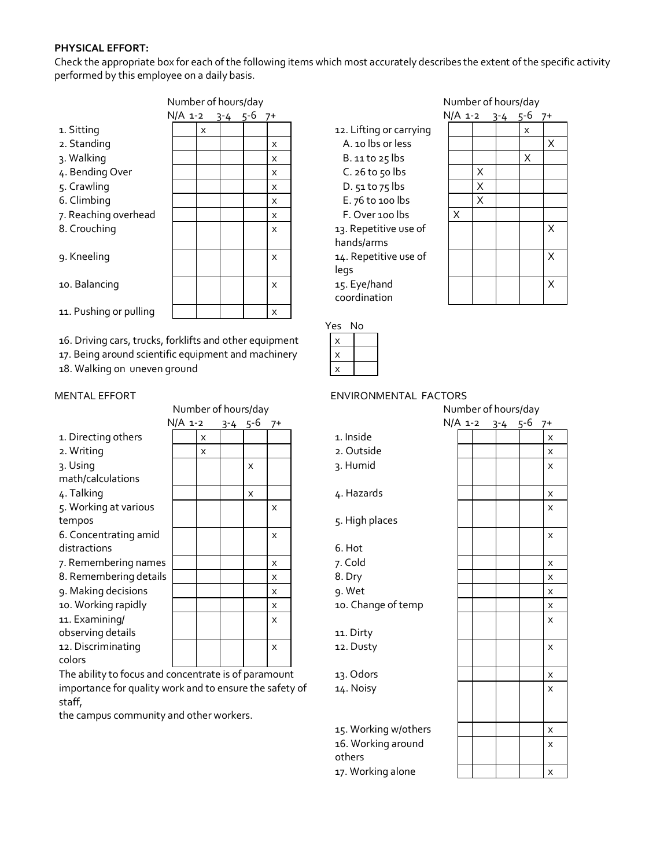# **PHYSICAL EFFORT:**

Check the appropriate box for each of the following items which most accurately describes the extent of the specific activity performed by this employee on a daily basis.

|                        | Number of hours/day |         |   |         |  |         |    |  |
|------------------------|---------------------|---------|---|---------|--|---------|----|--|
|                        |                     | N/A 1-2 |   | $3 - 4$ |  | $5 - 6$ | 7+ |  |
| 1. Sitting             |                     |         | x |         |  |         |    |  |
| 2. Standing            |                     |         |   |         |  |         | x  |  |
| 3. Walking             |                     |         |   |         |  |         | x  |  |
| 4. Bending Over        |                     |         |   |         |  |         | X  |  |
| 5. Crawling            |                     |         |   |         |  |         | X  |  |
| 6. Climbing            |                     |         |   |         |  |         | X  |  |
| 7. Reaching overhead   |                     |         |   |         |  |         | X  |  |
| 8. Crouching           |                     |         |   |         |  |         | X  |  |
| 9. Kneeling            |                     |         |   |         |  |         | x  |  |
| 10. Balancing          |                     |         |   |         |  |         | x  |  |
| 11. Pushing or pulling |                     |         |   |         |  |         | x  |  |

16. Driving cars, trucks, forklifts and other equipment

17. Being around scientific equipment and machinery

18. Walking on uneven ground

| <b>INUTING I UITIOUIS/UAY</b>                        |           |          |  |                  |                           | <b>INUITIVEL ULTIUDIS/UAY</b> |  |  |                   |  |              |
|------------------------------------------------------|-----------|----------|--|------------------|---------------------------|-------------------------------|--|--|-------------------|--|--------------|
|                                                      | $N/A$ 1-2 |          |  | $3-4$ $5-6$ $7+$ |                           |                               |  |  | $N/A$ 1-2 3-4 5-6 |  | $7+$         |
| 1. Directing others                                  |           | X        |  |                  |                           | 1. Inside                     |  |  |                   |  | X            |
| 2. Writing                                           |           | $\times$ |  |                  |                           | 2. Outside                    |  |  |                   |  | X            |
| 3. Using                                             |           |          |  | X                |                           | 3. Humid                      |  |  |                   |  | X            |
| math/calculations                                    |           |          |  |                  |                           |                               |  |  |                   |  |              |
| 4. Talking                                           |           |          |  | X                |                           | 4. Hazards                    |  |  |                   |  | X            |
| 5. Working at various                                |           |          |  |                  | $\times$                  |                               |  |  |                   |  | X            |
| tempos                                               |           |          |  |                  |                           | 5. High places                |  |  |                   |  |              |
| 6. Concentrating amid                                |           |          |  |                  | $\mathsf{x}$              |                               |  |  |                   |  | X            |
| distractions                                         |           |          |  |                  |                           | 6. Hot                        |  |  |                   |  |              |
| 7. Remembering names                                 |           |          |  |                  | $\mathsf{x}$              | 7. Cold                       |  |  |                   |  | X            |
| 8. Remembering details                               |           |          |  |                  | $\mathsf{x}$              | 8. Dry                        |  |  |                   |  | X            |
| 9. Making decisions                                  |           |          |  |                  | $\times$                  | 9. Wet                        |  |  |                   |  | X            |
| 10. Working rapidly                                  |           |          |  |                  | X                         | 10. Change of temp            |  |  |                   |  | X            |
| 11. Examining/                                       |           |          |  |                  | $\boldsymbol{\mathsf{x}}$ |                               |  |  |                   |  | X            |
| observing details                                    |           |          |  |                  |                           | 11. Dirty                     |  |  |                   |  |              |
| 12. Discriminating                                   |           |          |  |                  | X                         | 12. Dusty                     |  |  |                   |  | X            |
| colors                                               |           |          |  |                  |                           |                               |  |  |                   |  |              |
| The ability to focus and concentrate is of paramount |           |          |  |                  |                           | 12 Odors                      |  |  |                   |  | $\checkmark$ |

The ability to focus and concentrate is of paramount 13. Odors importance for quality work and to ensure the safety of staff,

the campus community and other workers.

# 12. Lifting or carrying A. 10 lbs or less  $B.$  11 to 25 lbs  $C.$  26 to 50 lbs D. 51 to 75 lbs  $E.$  76 to 100 lbs F. Over 100 lbs 13. Repetitive use of hands/arms 14. Repetitive use of legs 15. Eye/hand coordination

| es | No |  |
|----|----|--|
| x  |    |  |
| х  |    |  |
|    |    |  |

#### MENTAL EFFORT ENVIRONMENTAL FACTORS

| 1. Inside<br>2. Outside<br>ว. Humid                                             |
|---------------------------------------------------------------------------------|
| 4. Hazards                                                                      |
| 5. High places                                                                  |
| 6. Hot<br>7. Cold<br>8. Dry<br>9. Wet<br>10. Change of $\overline{\phantom{a}}$ |
| 11. Dirty<br>12. Dusty                                                          |

17. Working alone  $\begin{array}{c|c|c|c|c} & & & \end{array}$   $\begin{array}{c|c|c|c} & & \end{array}$  x

| Number of hours/day             |                 |              |                              | Number of hours/day |         |         |      |
|---------------------------------|-----------------|--------------|------------------------------|---------------------|---------|---------|------|
| √/A 1-2                         | $3 - 4$ $5 - 6$ | $7+$         |                              | N/A 1-2             | $3 - 4$ | $5 - 6$ | $7+$ |
| X                               |                 |              | 1. Inside                    |                     |         |         | X    |
| X                               |                 |              | 2. Outside                   |                     |         |         | X    |
|                                 | X               |              | 3. Humid                     |                     |         |         | X    |
|                                 | X               |              | 4. Hazards                   |                     |         |         | X    |
|                                 |                 | X            |                              |                     |         |         | X    |
|                                 |                 |              | 5. High places               |                     |         |         |      |
|                                 |                 | X            |                              |                     |         |         | X    |
|                                 |                 |              | 6. Hot                       |                     |         |         |      |
|                                 |                 | X            | 7. Cold                      |                     |         |         | X    |
|                                 |                 | X            | 8. Dry                       |                     |         |         | X    |
|                                 |                 | X            | 9. Wet                       |                     |         |         | X    |
|                                 |                 | X            | 10. Change of temp           |                     |         |         | X    |
|                                 |                 | X            |                              |                     |         |         | X    |
|                                 |                 |              | 11. Dirty                    |                     |         |         |      |
|                                 |                 | $\mathsf{x}$ | 12. Dusty                    |                     |         |         | X    |
| oncentrate is of paramount      |                 |              | 13. Odors                    |                     |         |         | X    |
| ork and to ensure the safety of |                 |              | 14. Noisy                    |                     |         |         | X    |
| and other workers.              |                 |              |                              |                     |         |         |      |
|                                 |                 |              | 15. Working w/others         |                     |         |         | X    |
|                                 |                 |              | 16. Working around<br>others |                     |         |         | X    |

Number of hours/day Number of hours/day

| $N/A$ 1-2 |                         | $3 - 4$ | $5 - 6$            | $7+$         |
|-----------|-------------------------|---------|--------------------|--------------|
|           |                         |         | $\pmb{\mathsf{x}}$ |              |
|           |                         |         |                    | $\sf X$      |
|           |                         |         | X                  |              |
|           | $\frac{X}{X}$           |         |                    |              |
|           |                         |         |                    |              |
|           | $\overline{\mathsf{x}}$ |         |                    |              |
| X         |                         |         |                    |              |
|           |                         |         |                    | X            |
|           |                         |         |                    | $\mathsf{X}$ |
|           |                         |         |                    | $\mathsf{X}$ |